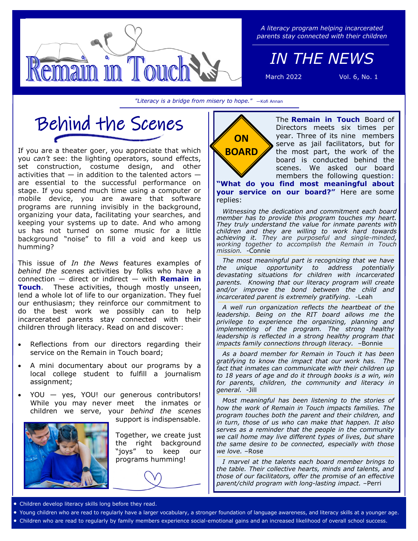

*A literacy program helping incarcerated parents stay connected with their children*

*IN THE NEWS*

March 2022 Vol. 6, No. 1

*"Literacy is a bridge from misery to hope."* —Kofi Annan



If you are a theater goer, you appreciate that which you *can't* see: the lighting operators, sound effects, set construction, costume design, and other activities that  $-$  in addition to the talented actors  $$ are essential to the successful performance on stage. If you spend much time using a computer or mobile device, you are aware that software programs are running invisibly in the background, organizing your data, facilitating your searches, and keeping your systems up to date. And who among us has not turned on some music for a little background "noise" to fill a void and keep us humming?

This issue of *In the News* features examples of *behind the scenes* activities by folks who have a connection — direct or indirect — with **Remain in Touch**. These activities, though mostly unseen, lend a whole lot of life to our organization. They fuel our enthusiasm; they reinforce our commitment to do the best work we possibly can to help incarcerated parents stay connected with their children through literacy. Read on and discover:

- Reflections from our directors regarding their service on the Remain in Touch board;
- A mini documentary about our programs by a local college student to fulfill a journalism assignment;
- YOU yes, YOU! our generous contributors! While you may never meet the inmates or children we serve, your *behind the scenes*



support is indispensable.

Together, we create just the right background "joys" to keep our programs humming!



The **Remain in Touch** Board of Directors meets six times per year. Three of its nine members serve as jail facilitators, but for the most part, the work of the board is conducted behind the scenes. We asked our board members the following question:

**"What do you find most meaningful about your service on our board?"** Here are some replies:

*Witnessing the dedication and commitment each board member has to provide this program touches my heart. They truly understand the value for inmate parents with children and they are willing to work hard towards achieving it. They are purposeful and single-minded, working together to accomplish the Remain in Touch mission.* -Connie

*The most meaningful part is recognizing that we have the unique opportunity to address potentially devastating situations for children with incarcerated parents. Knowing that our literacy program will create and/or improve the bond between the child and incarcerated parent is extremely gratifying.* -Leah

*A well run organization reflects the heartbeat of the leadership. Being on the RIT board allows me the privilege to experience the organizing, planning and implementing of the program. The strong healthy leadership is reflected in a strong healthy program that impacts family connections through literacy.* –Bonnie

*As a board member for Remain in Touch it has been gratifying to know the impact that our work has. The fact that inmates can communicate with their children up to 18 years of age and do it through books is a win, win for parents, children, the community and literacy in general.* -Jill

*Most meaningful has been listening to the stories of how the work of Remain in Touch impacts families. The program touches both the parent and their children, and in turn, those of us who can make that happen. It also serves as a reminder that the people in the community we call home may live different types of lives, but share the same desire to be connected, especially with those we love.* –Rose

*I marvel at the talents each board member brings to the table. Their collective hearts, minds and talents, and those of our facilitators, offer the promise of an effective parent/child program with long-lasting impact.* –Perri

Children develop literacy skills long before they read.

- Young children who are read to regularly have a larger vocabulary, a stronger foundation of language awareness, and literacy skills at a younger age.
- Children who are read to regularly by family members experience social-emotional gains and an increased likelihood of overall school success.